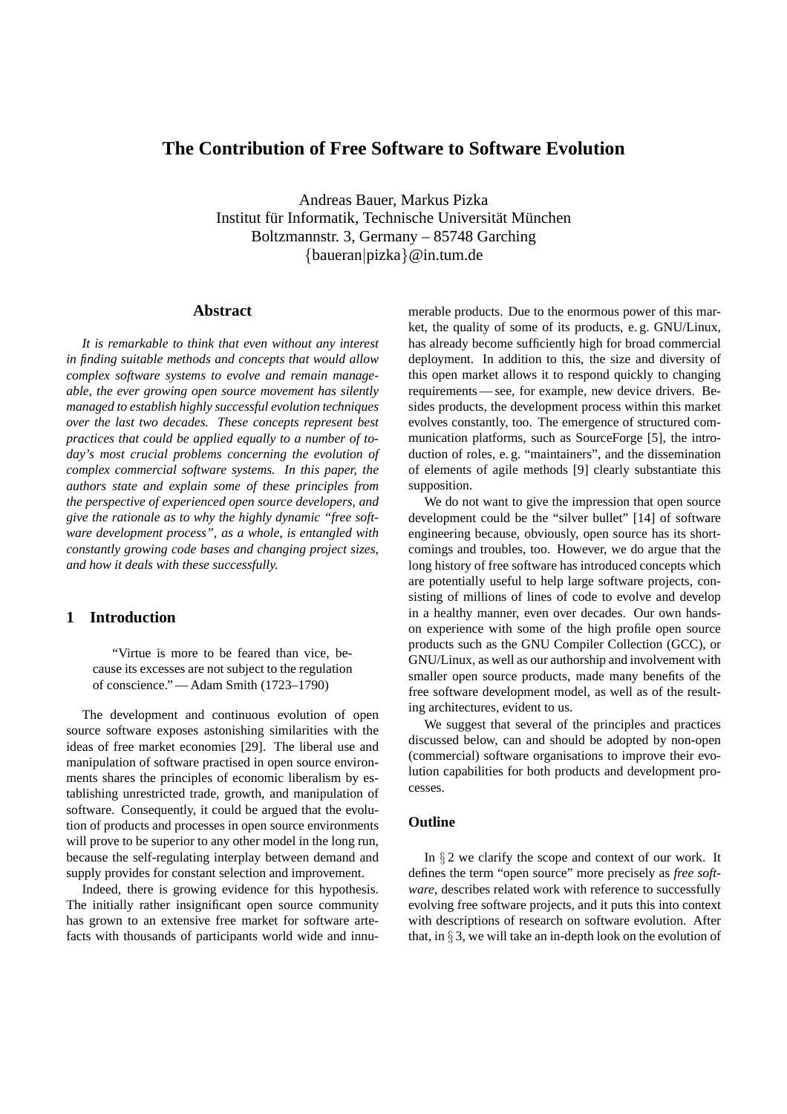# **The Contribution of Free Software to Software Evolution**

Andreas Bauer, Markus Pizka Institut für Informatik, Technische Universität München Boltzmannstr. 3, Germany – 85748 Garching {baueran|pizka}@in.tum.de

## **Abstract**

*It is remarkable to think that even without any interest in finding suitable methods and concepts that would allow complex software systems to evolve and remain manageable, the ever growing open source movement has silently managed to establish highly successful evolution techniques over the last two decades. These concepts represent best practices that could be applied equally to a number of today's most crucial problems concerning the evolution of complex commercial software systems. In this paper, the authors state and explain some of these principles from the perspective of experienced open source developers, and give the rationale as to why the highly dynamic "free software development process", as a whole, is entangled with constantly growing code bases and changing project sizes, and how it deals with these successfully.*

## **1 Introduction**

"Virtue is more to be feared than vice, because its excesses are not subject to the regulation of conscience." — Adam Smith (1723–1790)

The development and continuous evolution of open source software exposes astonishing similarities with the ideas of free market economies [29]. The liberal use and manipulation of software practised in open source environments shares the principles of economic liberalism by establishing unrestricted trade, growth, and manipulation of software. Consequently, it could be argued that the evolution of products and processes in open source environments will prove to be superior to any other model in the long run, because the self-regulating interplay between demand and supply provides for constant selection and improvement.

Indeed, there is growing evidence for this hypothesis. The initially rather insignificant open source community has grown to an extensive free market for software artefacts with thousands of participants world wide and innumerable products. Due to the enormous power of this market, the quality of some of its products, e. g. GNU/Linux, has already become sufficiently high for broad commercial deployment. In addition to this, the size and diversity of this open market allows it to respond quickly to changing requirements — see, for example, new device drivers. Besides products, the development process within this market evolves constantly, too. The emergence of structured communication platforms, such as SourceForge [5], the introduction of roles, e. g. "maintainers", and the dissemination of elements of agile methods [9] clearly substantiate this supposition.

We do not want to give the impression that open source development could be the "silver bullet" [14] of software engineering because, obviously, open source has its shortcomings and troubles, too. However, we do argue that the long history of free software has introduced concepts which are potentially useful to help large software projects, consisting of millions of lines of code to evolve and develop in a healthy manner, even over decades. Our own handson experience with some of the high profile open source products such as the GNU Compiler Collection (GCC), or GNU/Linux, as well as our authorship and involvement with smaller open source products, made many benefits of the free software development model, as well as of the resulting architectures, evident to us.

We suggest that several of the principles and practices discussed below, can and should be adopted by non-open (commercial) software organisations to improve their evolution capabilities for both products and development processes.

## **Outline**

In  $\S 2$  we clarify the scope and context of our work. It defines the term "open source" more precisely as *free software*, describes related work with reference to successfully evolving free software projects, and it puts this into context with descriptions of research on software evolution. After that, in  $\S 3$ , we will take an in-depth look on the evolution of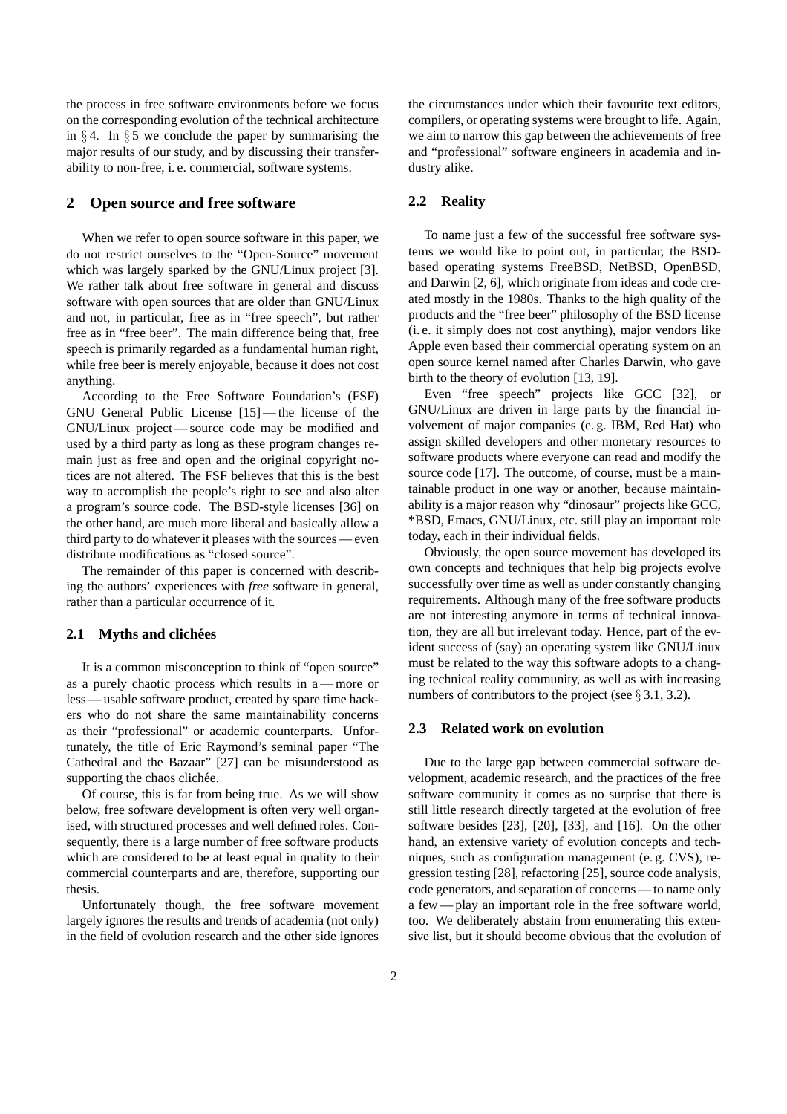the process in free software environments before we focus on the corresponding evolution of the technical architecture in  $\S 4$ . In  $\S 5$  we conclude the paper by summarising the major results of our study, and by discussing their transferability to non-free, i. e. commercial, software systems.

## **2 Open source and free software**

When we refer to open source software in this paper, we do not restrict ourselves to the "Open-Source" movement which was largely sparked by the GNU/Linux project [3]. We rather talk about free software in general and discuss software with open sources that are older than GNU/Linux and not, in particular, free as in "free speech", but rather free as in "free beer". The main difference being that, free speech is primarily regarded as a fundamental human right, while free beer is merely enjoyable, because it does not cost anything.

According to the Free Software Foundation's (FSF) GNU General Public License [15] — the license of the GNU/Linux project — source code may be modified and used by a third party as long as these program changes remain just as free and open and the original copyright notices are not altered. The FSF believes that this is the best way to accomplish the people's right to see and also alter a program's source code. The BSD-style licenses [36] on the other hand, are much more liberal and basically allow a third party to do whatever it pleases with the sources — even distribute modifications as "closed source".

The remainder of this paper is concerned with describing the authors' experiences with *free* software in general, rather than a particular occurrence of it.

#### **2.1 Myths and clichees ´**

It is a common misconception to think of "open source" as a purely chaotic process which results in a — more or less — usable software product, created by spare time hackers who do not share the same maintainability concerns as their "professional" or academic counterparts. Unfortunately, the title of Eric Raymond's seminal paper "The Cathedral and the Bazaar" [27] can be misunderstood as supporting the chaos clichée.

Of course, this is far from being true. As we will show below, free software development is often very well organised, with structured processes and well defined roles. Consequently, there is a large number of free software products which are considered to be at least equal in quality to their commercial counterparts and are, therefore, supporting our thesis.

Unfortunately though, the free software movement largely ignores the results and trends of academia (not only) in the field of evolution research and the other side ignores the circumstances under which their favourite text editors, compilers, or operating systems were brought to life. Again, we aim to narrow this gap between the achievements of free and "professional" software engineers in academia and industry alike.

### **2.2 Reality**

To name just a few of the successful free software systems we would like to point out, in particular, the BSDbased operating systems FreeBSD, NetBSD, OpenBSD, and Darwin [2, 6], which originate from ideas and code created mostly in the 1980s. Thanks to the high quality of the products and the "free beer" philosophy of the BSD license (i. e. it simply does not cost anything), major vendors like Apple even based their commercial operating system on an open source kernel named after Charles Darwin, who gave birth to the theory of evolution [13, 19].

Even "free speech" projects like GCC [32], or GNU/Linux are driven in large parts by the financial involvement of major companies (e. g. IBM, Red Hat) who assign skilled developers and other monetary resources to software products where everyone can read and modify the source code [17]. The outcome, of course, must be a maintainable product in one way or another, because maintainability is a major reason why "dinosaur" projects like GCC, \*BSD, Emacs, GNU/Linux, etc. still play an important role today, each in their individual fields.

Obviously, the open source movement has developed its own concepts and techniques that help big projects evolve successfully over time as well as under constantly changing requirements. Although many of the free software products are not interesting anymore in terms of technical innovation, they are all but irrelevant today. Hence, part of the evident success of (say) an operating system like GNU/Linux must be related to the way this software adopts to a changing technical reality community, as well as with increasing numbers of contributors to the project (see  $\S 3.1, 3.2$ ).

#### **2.3 Related work on evolution**

Due to the large gap between commercial software development, academic research, and the practices of the free software community it comes as no surprise that there is still little research directly targeted at the evolution of free software besides [23], [20], [33], and [16]. On the other hand, an extensive variety of evolution concepts and techniques, such as configuration management (e. g. CVS), regression testing [28], refactoring [25], source code analysis, code generators, and separation of concerns — to name only a few — play an important role in the free software world, too. We deliberately abstain from enumerating this extensive list, but it should become obvious that the evolution of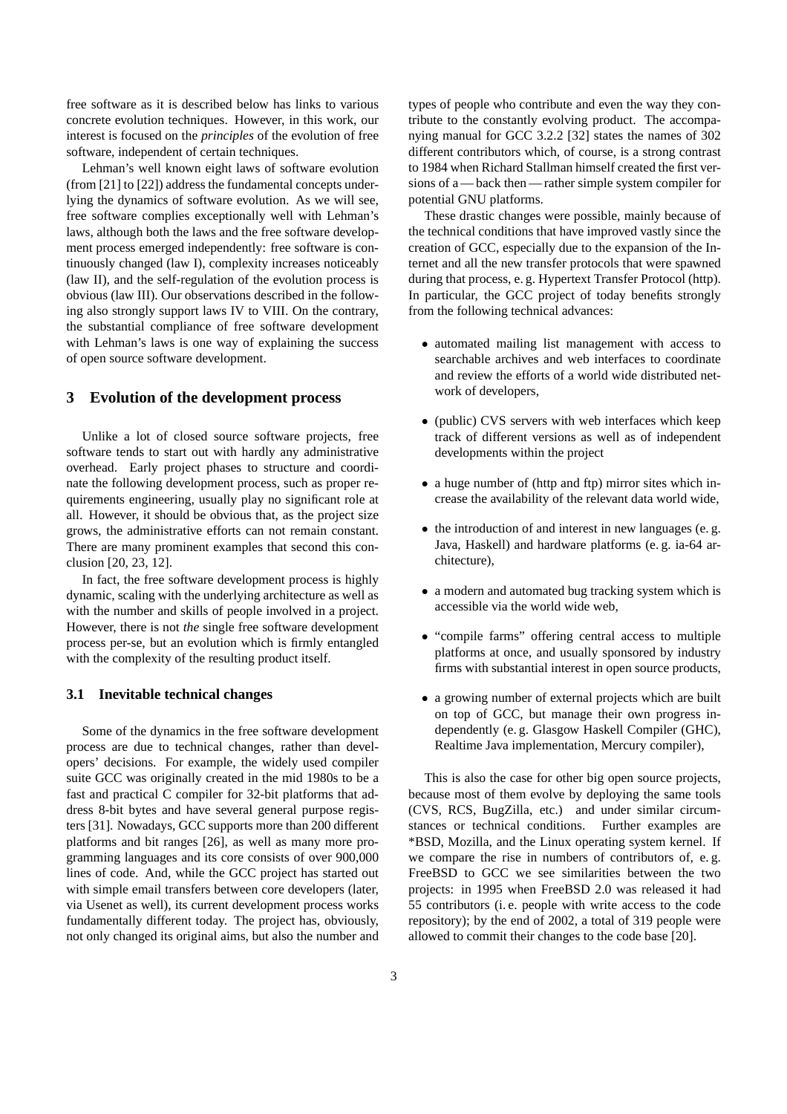free software as it is described below has links to various concrete evolution techniques. However, in this work, our interest is focused on the *principles* of the evolution of free software, independent of certain techniques.

Lehman's well known eight laws of software evolution (from [21] to [22]) address the fundamental concepts underlying the dynamics of software evolution. As we will see, free software complies exceptionally well with Lehman's laws, although both the laws and the free software development process emerged independently: free software is continuously changed (law I), complexity increases noticeably (law II), and the self-regulation of the evolution process is obvious (law III). Our observations described in the following also strongly support laws IV to VIII. On the contrary, the substantial compliance of free software development with Lehman's laws is one way of explaining the success of open source software development.

## **3 Evolution of the development process**

Unlike a lot of closed source software projects, free software tends to start out with hardly any administrative overhead. Early project phases to structure and coordinate the following development process, such as proper requirements engineering, usually play no significant role at all. However, it should be obvious that, as the project size grows, the administrative efforts can not remain constant. There are many prominent examples that second this conclusion [20, 23, 12].

In fact, the free software development process is highly dynamic, scaling with the underlying architecture as well as with the number and skills of people involved in a project. However, there is not *the* single free software development process per-se, but an evolution which is firmly entangled with the complexity of the resulting product itself.

#### **3.1 Inevitable technical changes**

Some of the dynamics in the free software development process are due to technical changes, rather than developers' decisions. For example, the widely used compiler suite GCC was originally created in the mid 1980s to be a fast and practical C compiler for 32-bit platforms that address 8-bit bytes and have several general purpose registers [31]. Nowadays, GCC supports more than 200 different platforms and bit ranges [26], as well as many more programming languages and its core consists of over 900,000 lines of code. And, while the GCC project has started out with simple email transfers between core developers (later, via Usenet as well), its current development process works fundamentally different today. The project has, obviously, not only changed its original aims, but also the number and types of people who contribute and even the way they contribute to the constantly evolving product. The accompanying manual for GCC 3.2.2 [32] states the names of 302 different contributors which, of course, is a strong contrast to 1984 when Richard Stallman himself created the first versions of a — back then — rather simple system compiler for potential GNU platforms.

These drastic changes were possible, mainly because of the technical conditions that have improved vastly since the creation of GCC, especially due to the expansion of the Internet and all the new transfer protocols that were spawned during that process, e. g. Hypertext Transfer Protocol (http). In particular, the GCC project of today benefits strongly from the following technical advances:

- automated mailing list management with access to searchable archives and web interfaces to coordinate and review the efforts of a world wide distributed network of developers,
- (public) CVS servers with web interfaces which keep track of different versions as well as of independent developments within the project
- a huge number of (http and ftp) mirror sites which increase the availability of the relevant data world wide,
- the introduction of and interest in new languages (e.g. Java, Haskell) and hardware platforms (e. g. ia-64 architecture),
- a modern and automated bug tracking system which is accessible via the world wide web,
- "compile farms" offering central access to multiple platforms at once, and usually sponsored by industry firms with substantial interest in open source products,
- a growing number of external projects which are built on top of GCC, but manage their own progress independently (e. g. Glasgow Haskell Compiler (GHC), Realtime Java implementation, Mercury compiler),

This is also the case for other big open source projects, because most of them evolve by deploying the same tools (CVS, RCS, BugZilla, etc.) and under similar circumstances or technical conditions. Further examples are \*BSD, Mozilla, and the Linux operating system kernel. If we compare the rise in numbers of contributors of, e. g. FreeBSD to GCC we see similarities between the two projects: in 1995 when FreeBSD 2.0 was released it had 55 contributors (i. e. people with write access to the code repository); by the end of 2002, a total of 319 people were allowed to commit their changes to the code base [20].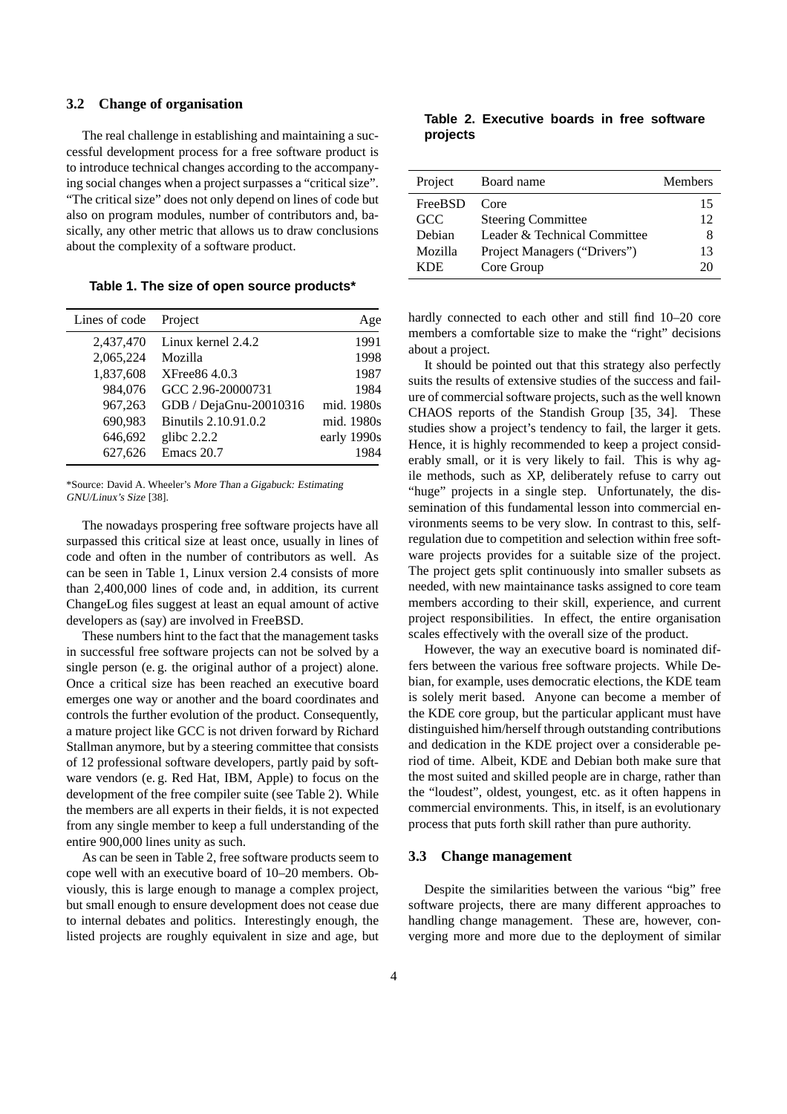#### **3.2 Change of organisation**

The real challenge in establishing and maintaining a successful development process for a free software product is to introduce technical changes according to the accompanying social changes when a project surpasses a "critical size". "The critical size" does not only depend on lines of code but also on program modules, number of contributors and, basically, any other metric that allows us to draw conclusions about the complexity of a software product.

**Table 1. The size of open source products\***

| Lines of code | Project                | Age         |
|---------------|------------------------|-------------|
| 2,437,470     | Linux kernel 2.4.2     | 1991        |
| 2,065,224     | Mozilla                | 1998        |
| 1,837,608     | XFree864.0.3           | 1987        |
| 984,076       | GCC 2.96-20000731      | 1984        |
| 967,263       | GDB / DejaGnu-20010316 | mid. 1980s  |
| 690,983       | Binutils 2.10.91.0.2   | mid. 1980s  |
| 646,692       | glibc $2.2.2$          | early 1990s |
| 627,626       | Emacs 20.7             | 1984        |

\*Source: David A. Wheeler's More Than <sup>a</sup> Gigabuck: Estimating GNU/Linux's Size [38].

The nowadays prospering free software projects have all surpassed this critical size at least once, usually in lines of code and often in the number of contributors as well. As can be seen in Table 1, Linux version 2.4 consists of more than 2,400,000 lines of code and, in addition, its current ChangeLog files suggest at least an equal amount of active developers as (say) are involved in FreeBSD.

These numbers hint to the fact that the management tasks in successful free software projects can not be solved by a single person (e. g. the original author of a project) alone. Once a critical size has been reached an executive board emerges one way or another and the board coordinates and controls the further evolution of the product. Consequently, a mature project like GCC is not driven forward by Richard Stallman anymore, but by a steering committee that consists of 12 professional software developers, partly paid by software vendors (e. g. Red Hat, IBM, Apple) to focus on the development of the free compiler suite (see Table 2). While the members are all experts in their fields, it is not expected from any single member to keep a full understanding of the entire 900,000 lines unity as such.

As can be seen in Table 2, free software products seem to cope well with an executive board of 10–20 members. Obviously, this is large enough to manage a complex project, but small enough to ensure development does not cease due to internal debates and politics. Interestingly enough, the listed projects are roughly equivalent in size and age, but

**Table 2. Executive boards in free software projects**

| Project    | Board name                   | <b>Members</b> |
|------------|------------------------------|----------------|
| FreeBSD    | Core                         | 15             |
| GCC        | <b>Steering Committee</b>    | 12             |
| Debian     | Leader & Technical Committee | 8              |
| Mozilla    | Project Managers ("Drivers") | 13             |
| <b>KDE</b> | Core Group                   | 20             |

hardly connected to each other and still find 10–20 core members a comfortable size to make the "right" decisions about a project.

It should be pointed out that this strategy also perfectly suits the results of extensive studies of the success and failure of commercial software projects, such as the well known CHAOS reports of the Standish Group [35, 34]. These studies show a project's tendency to fail, the larger it gets. Hence, it is highly recommended to keep a project considerably small, or it is very likely to fail. This is why agile methods, such as XP, deliberately refuse to carry out "huge" projects in a single step. Unfortunately, the dissemination of this fundamental lesson into commercial environments seems to be very slow. In contrast to this, selfregulation due to competition and selection within free software projects provides for a suitable size of the project. The project gets split continuously into smaller subsets as needed, with new maintainance tasks assigned to core team members according to their skill, experience, and current project responsibilities. In effect, the entire organisation scales effectively with the overall size of the product.

However, the way an executive board is nominated differs between the various free software projects. While Debian, for example, uses democratic elections, the KDE team is solely merit based. Anyone can become a member of the KDE core group, but the particular applicant must have distinguished him/herself through outstanding contributions and dedication in the KDE project over a considerable period of time. Albeit, KDE and Debian both make sure that the most suited and skilled people are in charge, rather than the "loudest", oldest, youngest, etc. as it often happens in commercial environments. This, in itself, is an evolutionary process that puts forth skill rather than pure authority.

#### **3.3 Change management**

Despite the similarities between the various "big" free software projects, there are many different approaches to handling change management. These are, however, converging more and more due to the deployment of similar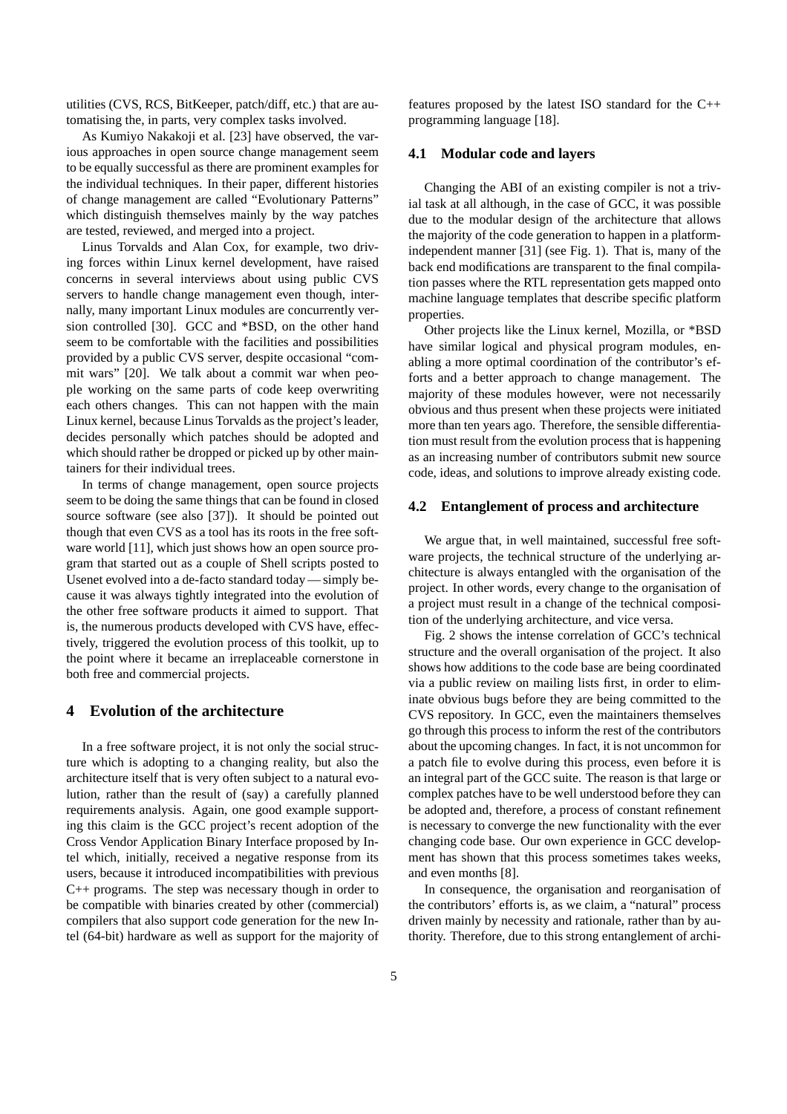utilities (CVS, RCS, BitKeeper, patch/diff, etc.) that are automatising the, in parts, very complex tasks involved.

As Kumiyo Nakakoji et al. [23] have observed, the various approaches in open source change management seem to be equally successful as there are prominent examples for the individual techniques. In their paper, different histories of change management are called "Evolutionary Patterns" which distinguish themselves mainly by the way patches are tested, reviewed, and merged into a project.

Linus Torvalds and Alan Cox, for example, two driving forces within Linux kernel development, have raised concerns in several interviews about using public CVS servers to handle change management even though, internally, many important Linux modules are concurrently version controlled [30]. GCC and \*BSD, on the other hand seem to be comfortable with the facilities and possibilities provided by a public CVS server, despite occasional "commit wars" [20]. We talk about a commit war when people working on the same parts of code keep overwriting each others changes. This can not happen with the main Linux kernel, because Linus Torvalds as the project's leader, decides personally which patches should be adopted and which should rather be dropped or picked up by other maintainers for their individual trees.

In terms of change management, open source projects seem to be doing the same things that can be found in closed source software (see also [37]). It should be pointed out though that even CVS as a tool has its roots in the free software world [11], which just shows how an open source program that started out as a couple of Shell scripts posted to Usenet evolved into a de-facto standard today — simply because it was always tightly integrated into the evolution of the other free software products it aimed to support. That is, the numerous products developed with CVS have, effectively, triggered the evolution process of this toolkit, up to the point where it became an irreplaceable cornerstone in both free and commercial projects.

## **4 Evolution of the architecture**

In a free software project, it is not only the social structure which is adopting to a changing reality, but also the architecture itself that is very often subject to a natural evolution, rather than the result of (say) a carefully planned requirements analysis. Again, one good example supporting this claim is the GCC project's recent adoption of the Cross Vendor Application Binary Interface proposed by Intel which, initially, received a negative response from its users, because it introduced incompatibilities with previous C++ programs. The step was necessary though in order to be compatible with binaries created by other (commercial) compilers that also support code generation for the new Intel (64-bit) hardware as well as support for the majority of features proposed by the latest ISO standard for the C++ programming language [18].

#### **4.1 Modular code and layers**

Changing the ABI of an existing compiler is not a trivial task at all although, in the case of GCC, it was possible due to the modular design of the architecture that allows the majority of the code generation to happen in a platformindependent manner [31] (see Fig. 1). That is, many of the back end modifications are transparent to the final compilation passes where the RTL representation gets mapped onto machine language templates that describe specific platform properties.

Other projects like the Linux kernel, Mozilla, or \*BSD have similar logical and physical program modules, enabling a more optimal coordination of the contributor's efforts and a better approach to change management. The majority of these modules however, were not necessarily obvious and thus present when these projects were initiated more than ten years ago. Therefore, the sensible differentiation must result from the evolution process that is happening as an increasing number of contributors submit new source code, ideas, and solutions to improve already existing code.

#### **4.2 Entanglement of process and architecture**

We argue that, in well maintained, successful free software projects, the technical structure of the underlying architecture is always entangled with the organisation of the project. In other words, every change to the organisation of a project must result in a change of the technical composition of the underlying architecture, and vice versa.

Fig. 2 shows the intense correlation of GCC's technical structure and the overall organisation of the project. It also shows how additions to the code base are being coordinated via a public review on mailing lists first, in order to eliminate obvious bugs before they are being committed to the CVS repository. In GCC, even the maintainers themselves go through this process to inform the rest of the contributors about the upcoming changes. In fact, it is not uncommon for a patch file to evolve during this process, even before it is an integral part of the GCC suite. The reason is that large or complex patches have to be well understood before they can be adopted and, therefore, a process of constant refinement is necessary to converge the new functionality with the ever changing code base. Our own experience in GCC development has shown that this process sometimes takes weeks, and even months [8].

In consequence, the organisation and reorganisation of the contributors' efforts is, as we claim, a "natural" process driven mainly by necessity and rationale, rather than by authority. Therefore, due to this strong entanglement of archi-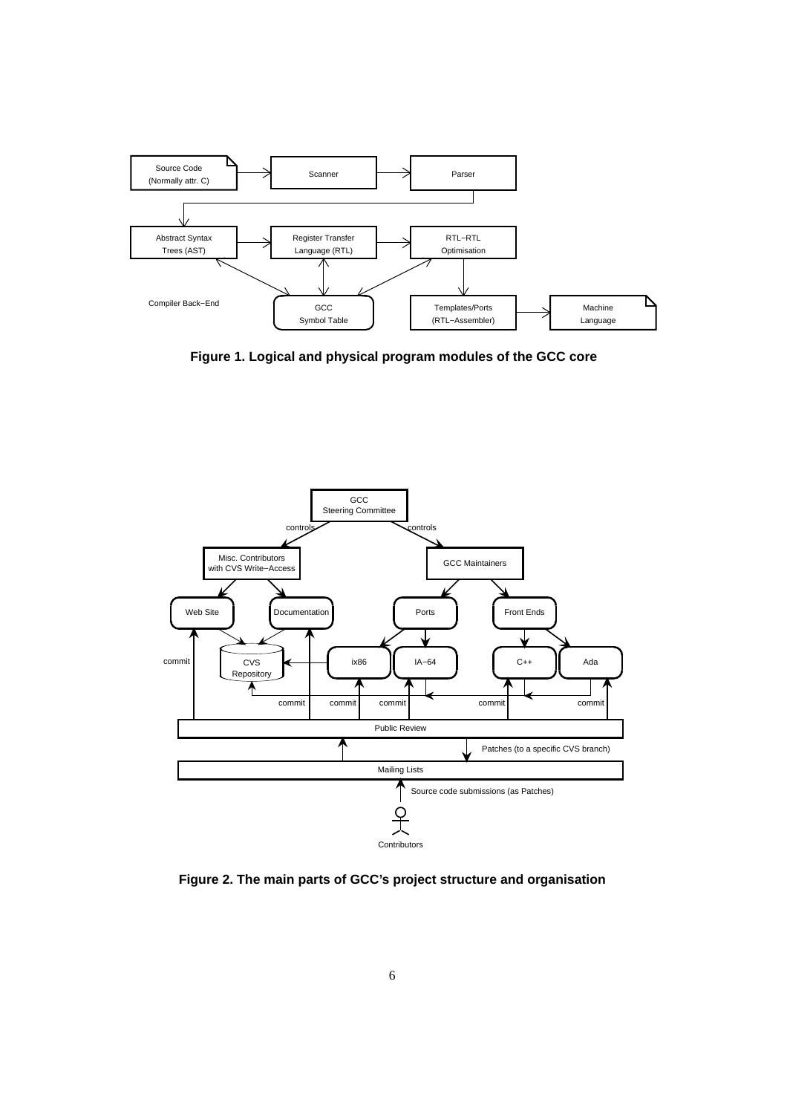

**Figure 1. Logical and physical program modules of the GCC core**



**Figure 2. The main parts of GCC's project structure and organisation**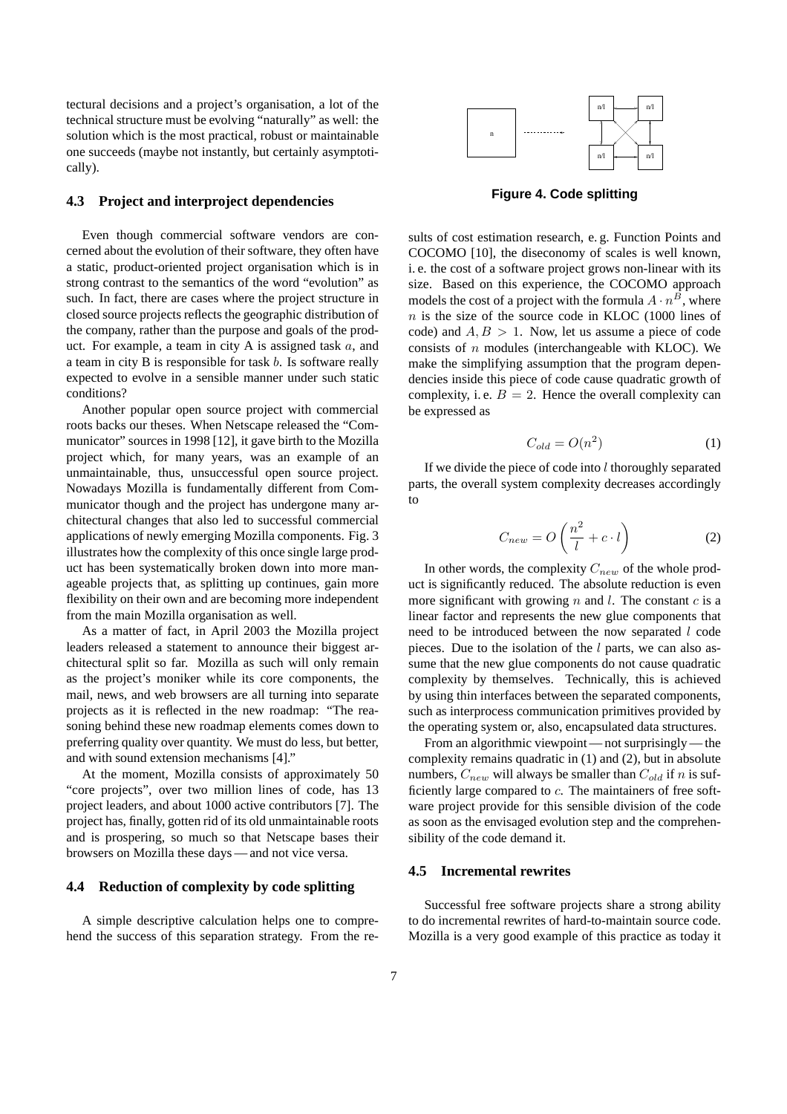tectural decisions and a project's organisation, a lot of the technical structure must be evolving "naturally" as well: the solution which is the most practical, robust or maintainable one succeeds (maybe not instantly, but certainly asymptotically).

## **4.3 Project and interproject dependencies**

Even though commercial software vendors are concerned about the evolution of their software, they often have a static, product-oriented project organisation which is in strong contrast to the semantics of the word "evolution" as such. In fact, there are cases where the project structure in closed source projects reflects the geographic distribution of the company, rather than the purpose and goals of the product. For example, a team in city A is assigned task  $a$ , and a team in city B is responsible for task b. Is software really expected to evolve in a sensible manner under such static conditions?

Another popular open source project with commercial roots backs our theses. When Netscape released the "Communicator" sources in 1998 [12], it gave birth to the Mozilla project which, for many years, was an example of an unmaintainable, thus, unsuccessful open source project. Nowadays Mozilla is fundamentally different from Communicator though and the project has undergone many architectural changes that also led to successful commercial applications of newly emerging Mozilla components. Fig. 3 illustrates how the complexity of this once single large product has been systematically broken down into more manageable projects that, as splitting up continues, gain more flexibility on their own and are becoming more independent from the main Mozilla organisation as well.

As a matter of fact, in April 2003 the Mozilla project leaders released a statement to announce their biggest architectural split so far. Mozilla as such will only remain as the project's moniker while its core components, the mail, news, and web browsers are all turning into separate projects as it is reflected in the new roadmap: "The reasoning behind these new roadmap elements comes down to preferring quality over quantity. We must do less, but better, and with sound extension mechanisms [4]."

At the moment, Mozilla consists of approximately 50 "core projects", over two million lines of code, has 13 project leaders, and about 1000 active contributors [7]. The project has, finally, gotten rid of its old unmaintainable roots and is prospering, so much so that Netscape bases their browsers on Mozilla these days — and not vice versa.

#### **4.4 Reduction of complexity by code splitting**

A simple descriptive calculation helps one to comprehend the success of this separation strategy. From the re-



**Figure 4. Code splitting**

sults of cost estimation research, e. g. Function Points and COCOMO [10], the diseconomy of scales is well known, i. e. the cost of a software project grows non-linear with its size. Based on this experience, the COCOMO approach models the cost of a project with the formula  $A \cdot n^B$ , where  $n$  is the size of the source code in KLOC (1000 lines of code) and  $A, B > 1$ . Now, let us assume a piece of code consists of  $n$  modules (interchangeable with KLOC). We make the simplifying assumption that the program dependencies inside this piece of code cause quadratic growth of complexity, i.e.  $B = 2$ . Hence the overall complexity can be expressed as

$$
C_{old} = O(n^2)
$$
 (1)

If we divide the piece of code into  $l$  thoroughly separated parts, the overall system complexity decreases accordingly to

$$
C_{new} = O\left(\frac{n^2}{l} + c \cdot l\right) \tag{2}
$$

In other words, the complexity  $C_{new}$  of the whole product is significantly reduced. The absolute reduction is even more significant with growing  $n$  and  $l$ . The constant  $c$  is a linear factor and represents the new glue components that need to be introduced between the now separated  $l$  code pieces. Due to the isolation of the  $l$  parts, we can also assume that the new glue components do not cause quadratic complexity by themselves. Technically, this is achieved by using thin interfaces between the separated components, such as interprocess communication primitives provided by the operating system or, also, encapsulated data structures.

From an algorithmic viewpoint — not surprisingly — the complexity remains quadratic in (1) and (2), but in absolute numbers,  $C_{new}$  will always be smaller than  $C_{old}$  if n is sufficiently large compared to c. The maintainers of free software project provide for this sensible division of the code as soon as the envisaged evolution step and the comprehensibility of the code demand it.

#### **4.5 Incremental rewrites**

Successful free software projects share a strong ability to do incremental rewrites of hard-to-maintain source code. Mozilla is a very good example of this practice as today it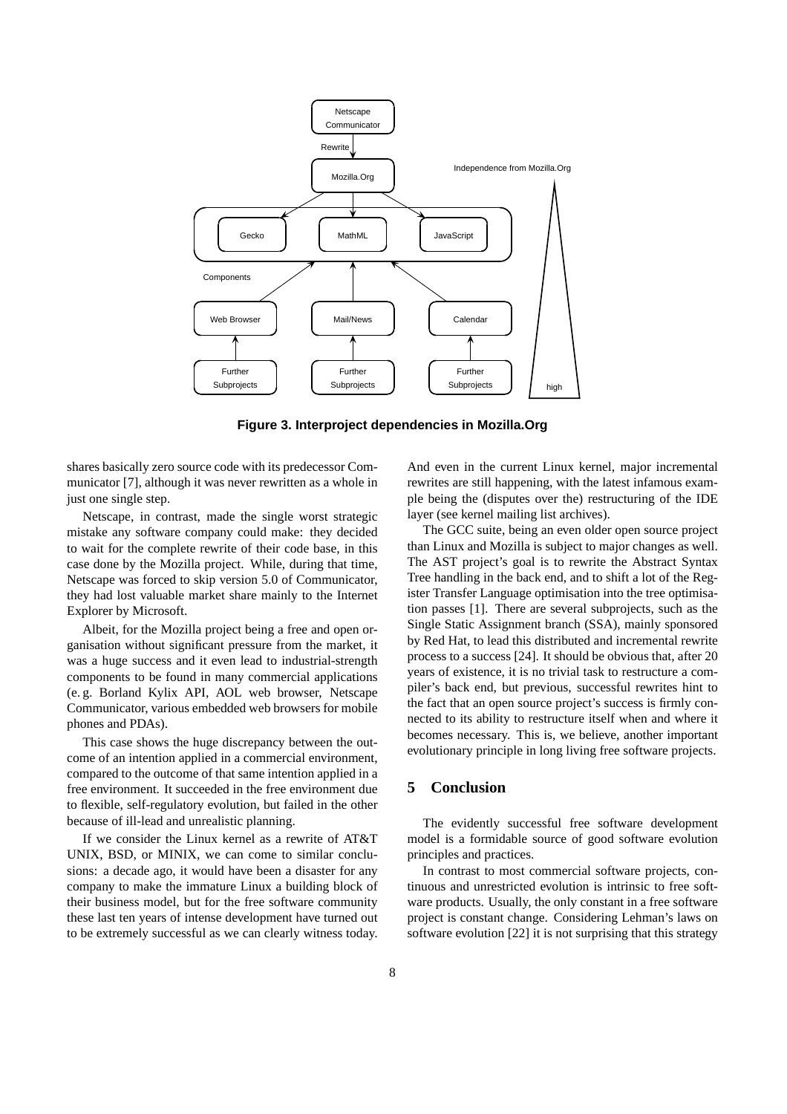

**Figure 3. Interproject dependencies in Mozilla.Org**

shares basically zero source code with its predecessor Communicator [7], although it was never rewritten as a whole in just one single step.

Netscape, in contrast, made the single worst strategic mistake any software company could make: they decided to wait for the complete rewrite of their code base, in this case done by the Mozilla project. While, during that time, Netscape was forced to skip version 5.0 of Communicator, they had lost valuable market share mainly to the Internet Explorer by Microsoft.

Albeit, for the Mozilla project being a free and open organisation without significant pressure from the market, it was a huge success and it even lead to industrial-strength components to be found in many commercial applications (e. g. Borland Kylix API, AOL web browser, Netscape Communicator, various embedded web browsers for mobile phones and PDAs).

This case shows the huge discrepancy between the outcome of an intention applied in a commercial environment, compared to the outcome of that same intention applied in a free environment. It succeeded in the free environment due to flexible, self-regulatory evolution, but failed in the other because of ill-lead and unrealistic planning.

If we consider the Linux kernel as a rewrite of AT&T UNIX, BSD, or MINIX, we can come to similar conclusions: a decade ago, it would have been a disaster for any company to make the immature Linux a building block of their business model, but for the free software community these last ten years of intense development have turned out to be extremely successful as we can clearly witness today.

And even in the current Linux kernel, major incremental rewrites are still happening, with the latest infamous example being the (disputes over the) restructuring of the IDE layer (see kernel mailing list archives).

The GCC suite, being an even older open source project than Linux and Mozilla is subject to major changes as well. The AST project's goal is to rewrite the Abstract Syntax Tree handling in the back end, and to shift a lot of the Register Transfer Language optimisation into the tree optimisation passes [1]. There are several subprojects, such as the Single Static Assignment branch (SSA), mainly sponsored by Red Hat, to lead this distributed and incremental rewrite process to a success [24]. It should be obvious that, after 20 years of existence, it is no trivial task to restructure a compiler's back end, but previous, successful rewrites hint to the fact that an open source project's success is firmly connected to its ability to restructure itself when and where it becomes necessary. This is, we believe, another important evolutionary principle in long living free software projects.

## **5 Conclusion**

The evidently successful free software development model is a formidable source of good software evolution principles and practices.

In contrast to most commercial software projects, continuous and unrestricted evolution is intrinsic to free software products. Usually, the only constant in a free software project is constant change. Considering Lehman's laws on software evolution [22] it is not surprising that this strategy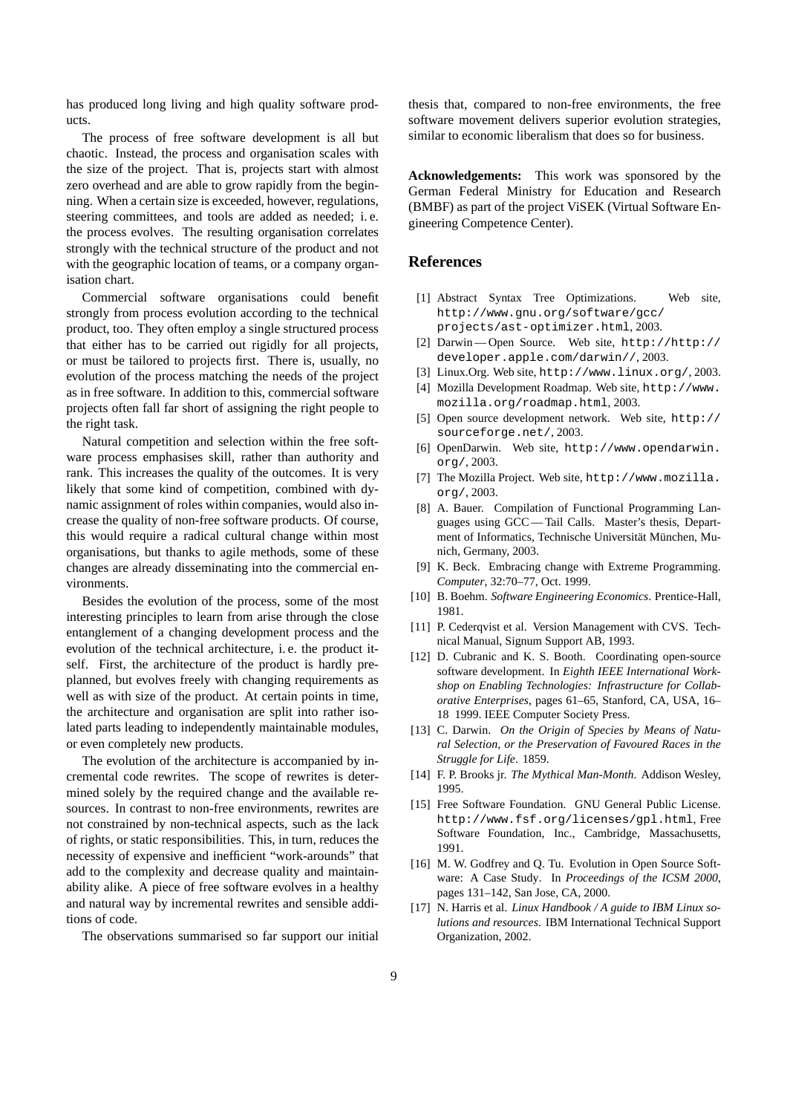has produced long living and high quality software products.

The process of free software development is all but chaotic. Instead, the process and organisation scales with the size of the project. That is, projects start with almost zero overhead and are able to grow rapidly from the beginning. When a certain size is exceeded, however, regulations, steering committees, and tools are added as needed; i. e. the process evolves. The resulting organisation correlates strongly with the technical structure of the product and not with the geographic location of teams, or a company organisation chart.

Commercial software organisations could benefit strongly from process evolution according to the technical product, too. They often employ a single structured process that either has to be carried out rigidly for all projects, or must be tailored to projects first. There is, usually, no evolution of the process matching the needs of the project as in free software. In addition to this, commercial software projects often fall far short of assigning the right people to the right task.

Natural competition and selection within the free software process emphasises skill, rather than authority and rank. This increases the quality of the outcomes. It is very likely that some kind of competition, combined with dynamic assignment of roles within companies, would also increase the quality of non-free software products. Of course, this would require a radical cultural change within most organisations, but thanks to agile methods, some of these changes are already disseminating into the commercial environments.

Besides the evolution of the process, some of the most interesting principles to learn from arise through the close entanglement of a changing development process and the evolution of the technical architecture, i. e. the product itself. First, the architecture of the product is hardly preplanned, but evolves freely with changing requirements as well as with size of the product. At certain points in time, the architecture and organisation are split into rather isolated parts leading to independently maintainable modules, or even completely new products.

The evolution of the architecture is accompanied by incremental code rewrites. The scope of rewrites is determined solely by the required change and the available resources. In contrast to non-free environments, rewrites are not constrained by non-technical aspects, such as the lack of rights, or static responsibilities. This, in turn, reduces the necessity of expensive and inefficient "work-arounds" that add to the complexity and decrease quality and maintainability alike. A piece of free software evolves in a healthy and natural way by incremental rewrites and sensible additions of code.

The observations summarised so far support our initial

thesis that, compared to non-free environments, the free software movement delivers superior evolution strategies, similar to economic liberalism that does so for business.

**Acknowledgements:** This work was sponsored by the German Federal Ministry for Education and Research (BMBF) as part of the project ViSEK (Virtual Software Engineering Competence Center).

### **References**

- [1] Abstract Syntax Tree Optimizations. Web site, http://www.gnu.org/software/gcc/ projects/ast-optimizer.html, 2003.
- [2] Darwin Open Source. Web site, http://http:// developer.apple.com/darwin//, 2003.
- [3] Linux.Org. Web site, http://www.linux.org/, 2003.
- [4] Mozilla Development Roadmap. Web site, http://www. mozilla.org/roadmap.html, 2003.
- [5] Open source development network. Web site, http:// sourceforge.net/, 2003.
- [6] OpenDarwin. Web site, http://www.opendarwin. org/, 2003.
- [7] The Mozilla Project. Web site, http://www.mozilla. org/, 2003.
- [8] A. Bauer. Compilation of Functional Programming Languages using GCC — Tail Calls. Master's thesis, Department of Informatics, Technische Universität München, Munich, Germany, 2003.
- [9] K. Beck. Embracing change with Extreme Programming. *Computer*, 32:70–77, Oct. 1999.
- [10] B. Boehm. *Software Engineering Economics*. Prentice-Hall, 1981.
- [11] P. Cederqvist et al. Version Management with CVS. Technical Manual, Signum Support AB, 1993.
- [12] D. Cubranic and K. S. Booth. Coordinating open-source software development. In *Eighth IEEE International Workshop on Enabling Technologies: Infrastructure for Collaborative Enterprises*, pages 61–65, Stanford, CA, USA, 16– 18 1999. IEEE Computer Society Press.
- [13] C. Darwin. *On the Origin of Species by Means of Natural Selection, or the Preservation of Favoured Races in the Struggle for Life*. 1859.
- [14] F. P. Brooks jr. *The Mythical Man-Month*. Addison Wesley, 1995.
- [15] Free Software Foundation. GNU General Public License. http://www.fsf.org/licenses/gpl.html, Free Software Foundation, Inc., Cambridge, Massachusetts, 1991.
- [16] M. W. Godfrey and Q. Tu. Evolution in Open Source Software: A Case Study. In *Proceedings of the ICSM 2000*, pages 131–142, San Jose, CA, 2000.
- [17] N. Harris et al. *Linux Handbook / A guide to IBM Linux solutions and resources*. IBM International Technical Support Organization, 2002.